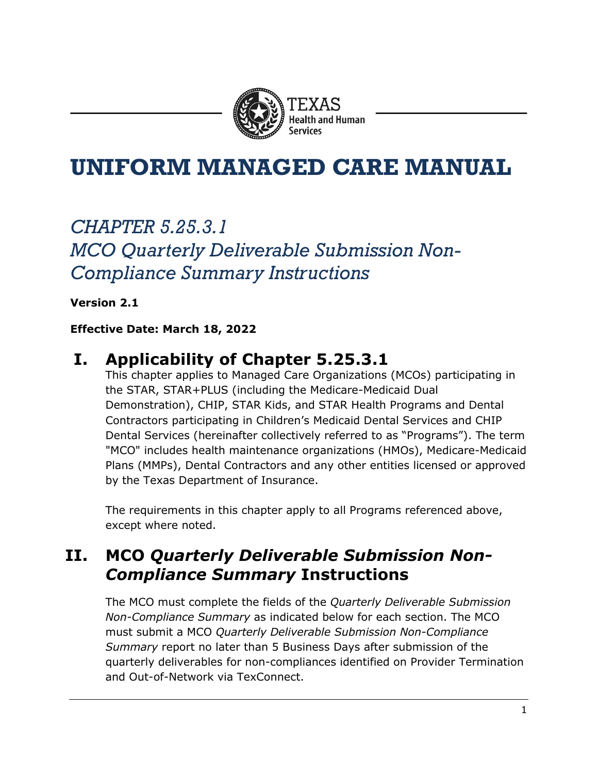

# **UNIFORM MANAGED CARE MANUAL**

## *CHAPTER 5.25.3.1 MCO Quarterly Deliverable Submission Non-Compliance Summary Instructions*

**Version 2.1**

#### **Effective Date: March 18, 2022**

### **I. Applicability of Chapter 5.25.3.1**

This chapter applies to Managed Care Organizations (MCOs) participating in the STAR, STAR+PLUS (including the Medicare-Medicaid Dual Demonstration), CHIP, STAR Kids, and STAR Health Programs and Dental Contractors participating in Children's Medicaid Dental Services and CHIP Dental Services (hereinafter collectively referred to as "Programs"). The term "MCO" includes health maintenance organizations (HMOs), Medicare-Medicaid Plans (MMPs), Dental Contractors and any other entities licensed or approved by the Texas Department of Insurance.

The requirements in this chapter apply to all Programs referenced above, except where noted.

### **II. MCO** *Quarterly Deliverable Submission Non-Compliance Summary* **Instructions**

The MCO must complete the fields of the *Quarterly Deliverable Submission Non-Compliance Summary* as indicated below for each section. The MCO must submit a MCO *Quarterly Deliverable Submission Non-Compliance Summary* report no later than 5 Business Days after submission of the quarterly deliverables for non-compliances identified on Provider Termination and Out-of-Network via TexConnect.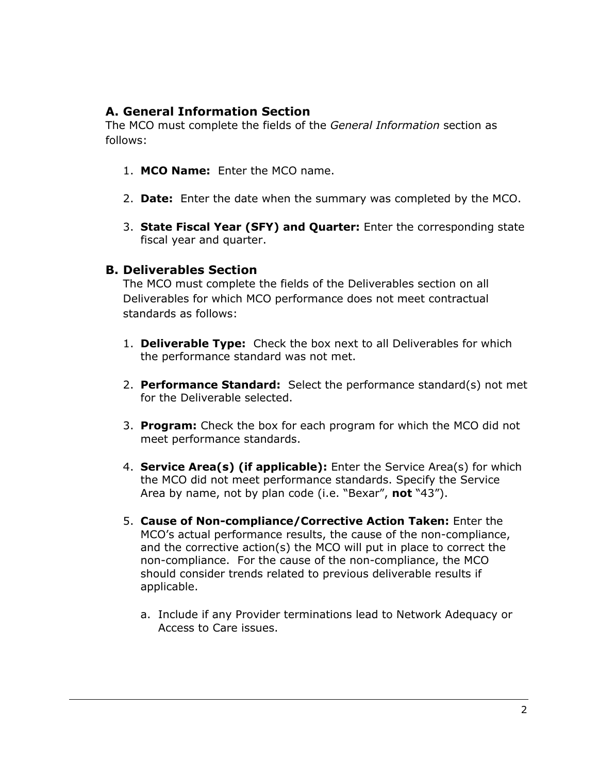### **A. General Information Section**

The MCO must complete the fields of the *General Information* section as follows:

- 1. **MCO Name:** Enter the MCO name.
- 2. **Date:** Enter the date when the summary was completed by the MCO.
- 3. **State Fiscal Year (SFY) and Quarter:** Enter the corresponding state fiscal year and quarter.

#### **B. Deliverables Section**

The MCO must complete the fields of the Deliverables section on all Deliverables for which MCO performance does not meet contractual standards as follows:

- 1. **Deliverable Type:** Check the box next to all Deliverables for which the performance standard was not met.
- 2. **Performance Standard:** Select the performance standard(s) not met for the Deliverable selected.
- 3. **Program:** Check the box for each program for which the MCO did not meet performance standards.
- 4. **Service Area(s) (if applicable):** Enter the Service Area(s) for which the MCO did not meet performance standards. Specify the Service Area by name, not by plan code (i.e. "Bexar", **not** "43").
- 5. **Cause of Non-compliance/Corrective Action Taken:** Enter the MCO's actual performance results, the cause of the non-compliance, and the corrective action(s) the MCO will put in place to correct the non-compliance. For the cause of the non-compliance, the MCO should consider trends related to previous deliverable results if applicable.
	- a. Include if any Provider terminations lead to Network Adequacy or Access to Care issues.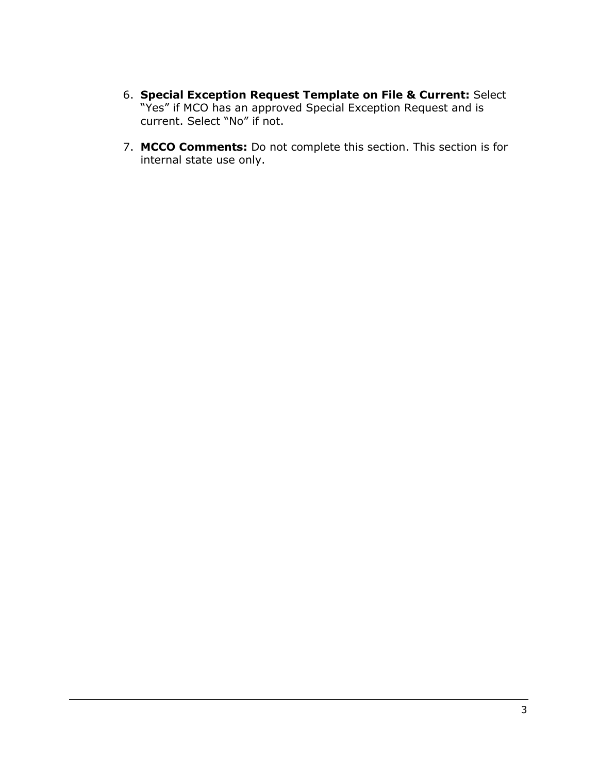- 6. **Special Exception Request Template on File & Current:** Select "Yes" if MCO has an approved Special Exception Request and is current. Select "No" if not.
- 7. **MCCO Comments:** Do not complete this section. This section is for internal state use only.